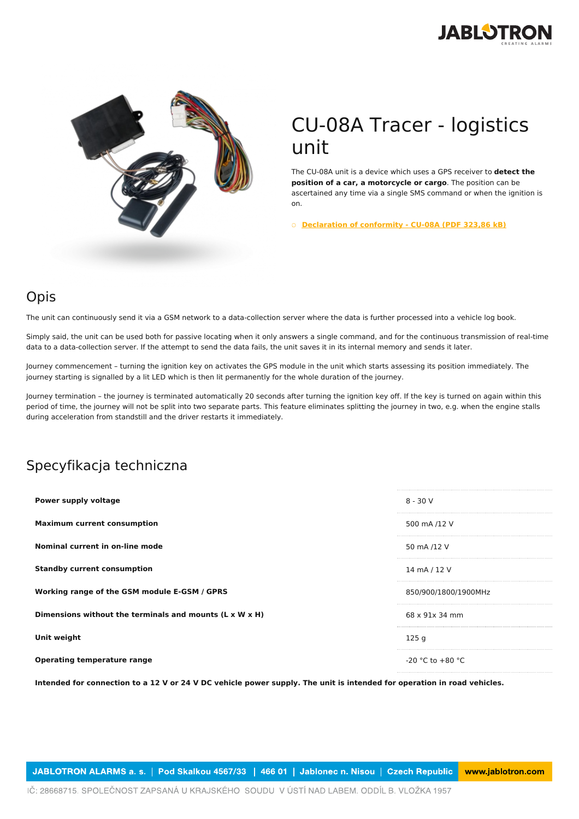



## CU-08A Tracer - logistics unit

The CU-08A unit is a device which uses a GPS receiver to **detect the position of a car, a motorcycle or cargo**. The position can be ascertained any time via a single SMS command or when the ignition is on.

○ **[Declaration](https://www.jablotron.com/pl/template/product/1505/?file=0&jt_id=23455&hash=e5KerE&do=downloadCertificate) of conformity - CU-08A (PDF 323,86 kB)**

## Opis

The unit can continuously send it via a GSM network to a data-collection server where the data is further processed into a vehicle log book.

Simply said, the unit can be used both for passive locating when it only answers a single command, and for the continuous transmission of real-time data to a data-collection server. If the attempt to send the data fails, the unit saves it in its internal memory and sends it later.

Journey commencement – turning the ignition key on activates the GPS module in the unit which starts assessing its position immediately. The journey starting is signalled by a lit LED which is then lit permanently for the whole duration of the journey.

Journey termination – the journey is terminated automatically 20 seconds after turning the ignition key off. If the key is turned on again within this period of time, the journey will not be split into two separate parts. This feature eliminates splitting the journey in two, e.g. when the engine stalls during acceleration from standstill and the driver restarts it immediately.

## Specyfikacja techniczna

| Power supply voltage                                    | $8 - 30V$            |
|---------------------------------------------------------|----------------------|
| <b>Maximum current consumption</b>                      | 500 mA /12 V         |
| Nominal current in on-line mode                         | 50 mA /12 V          |
| <b>Standby current consumption</b>                      | 14 mA / 12 V         |
| Working range of the GSM module E-GSM / GPRS            | 850/900/1800/1900MHz |
| Dimensions without the terminals and mounts (L x W x H) | 68 x 91x 34 mm       |
| Unit weight                                             | 125q                 |
| <b>Operating temperature range</b>                      | $-20$ °C to $+80$ °C |

Intended for connection to a 12 V or 24 V DC vehicle power supply. The unit is intended for operation in road vehicles.

JABLOTRON ALARMS a. s. | Pod Skalkou 4567/33 | 466 01 | Jablonec n. Nisou | Czech Republic www.jablotron.com